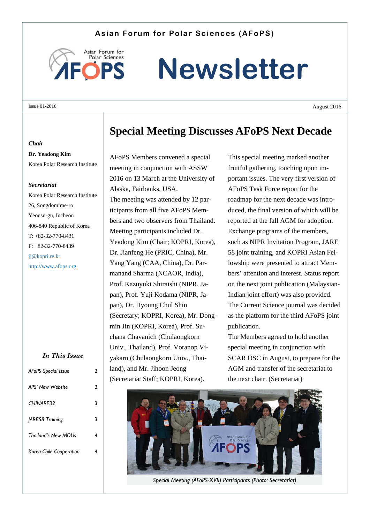### **Asian Forum for Polar Sciences (AFoPS)**



Issue 01-2016

August 2016

#### *Chair*

### **Dr. Yeadong Kim**  Korea Polar Research Institute

#### *Secretariat*

Korea Polar Research Institute 26, Songdomirae-ro Yeonsu-gu, Incheon 406-840 Republic of Korea T: +82-32-770-8431 F: +82-32-770-8439 jj@kopri.re.kr http://www.afops.org

#### *In This Issue*

| <b>AFoPS Special Issue</b> | 2 |
|----------------------------|---|
| APS' New Website           | 2 |
| CHINARE32                  | 3 |
| <b>JARE58 Training</b>     | 3 |
| <b>Thailand's New MOUs</b> | 4 |
| Korea-Chile Cooperation    | 4 |
|                            |   |

## **Special Meeting Discusses AFoPS Next Decade**

**Newsletter**

AFoPS Members convened a special meeting in conjunction with ASSW 2016 on 13 March at the University of Alaska, Fairbanks, USA. The meeting was attended by 12 participants from all five AFoPS Members and two observers from Thailand. Meeting participants included Dr. Yeadong Kim (Chair; KOPRI, Korea), Dr. Jianfeng He (PRIC, China), Mr. Yang Yang (CAA, China), Dr. Parmanand Sharma (NCAOR, India), Prof. Kazuyuki Shiraishi (NIPR, Japan), Prof. Yuji Kodama (NIPR, Japan), Dr. Hyoung Chul Shin (Secretary; KOPRI, Korea), Mr. Dongmin Jin (KOPRI, Korea), Prof. Suchana Chavanich (Chulaongkorn Univ., Thailand), Prof. Voranop Viyakarn (Chulaongkorn Univ., Thailand), and Mr. Jihoon Jeong (Secretariat Staff; KOPRI, Korea).

This special meeting marked another fruitful gathering, touching upon important issues. The very first version of AFoPS Task Force report for the roadmap for the next decade was introduced, the final version of which will be reported at the fall AGM for adoption. Exchange programs of the members, such as NIPR Invitation Program, JARE 58 joint training, and KOPRI Asian Fellowship were presented to attract Members' attention and interest. Status report on the next joint publication (Malaysian-Indian joint effort) was also provided. The Current Science journal was decided as the platform for the third AFoPS joint publication.

The Members agreed to hold another special meeting in conjunction with SCAR OSC in August, to prepare for the AGM and transfer of the secretariat to the next chair. (Secretariat)



*Special Meeting (AFoPS-XVII) Participants (Photo: Secretariat)*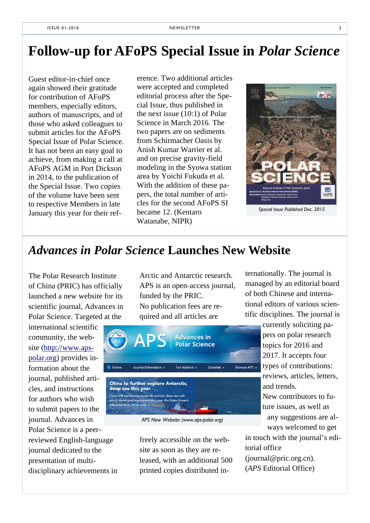# **Follow-up for AFoPS Special Issue in** *Polar Science*

Guest editor-in-chief once again showed their gratitude for contribution of AFoPS members, especially editors, authors of manuscripts, and of those who asked colleagues to submit articles for the AFoPS Special Issue of Polar Science. It has not been an easy goal to achieve, from making a call at AFoPS AGM in Port Dickson in 2014, to the publication of the Special Issue. Two copies of the volume have been sent to respective Members in late January this year for their reference. Two additional articles were accepted and completed editorial process after the Special Issue, thus published in the next issue (10:1) of Polar Science in March 2016. The two papers are on sediments from Schirmacher Oasis by Anish Kumar Warrier et al. and on precise gravity-field modeling in the Syowa station area by Yoichi Fukuda et al. With the addition of these papers, the total number of articles for the second AFoPS SI became 12. (Kentaro Watanabe, NIPR)



*Special Issue Published Dec. 2015*

## *Advances in Polar Science* **Launches New Website**

The Polar Research Institute of China (PRIC) has officially launched a new website for its scientific journal, Advances in Polar Science. Targeted at the

international scientific community, the website (http://www.apspolar.org) provides information about the journal, published articles, and instructions for authors who wish to submit papers to the journal. Advances in Polar Science is a peerreviewed English-language journal dedicated to the presentation of multidisciplinary achievements in Arctic and Antarctic research. APS is an open-access journal, funded by the PRIC. No publication fees are required and all articles are



*APS New Website (www.aps-polar.org)*

freely accessible on the website as soon as they are released, with an additional 500 printed copies distributed internationally. The journal is managed by an editorial board of both Chinese and international editors of various scientific disciplines. The journal is

> currently soliciting papers on polar research topics for 2016 and 2017. It accepts four types of contributions: reviews, articles, letters, and trends.

> New contributors to future issues, as well as any suggestions are always welcomed to get

in touch with the journal's editorial office (journal@pric.org.cn). (*APS* Editorial Office)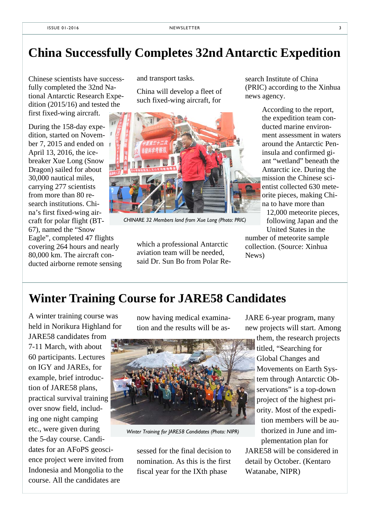# **China Successfully Completes 32nd Antarctic Expedition**

Chinese scientists have successfully completed the 32nd National Antarctic Research Expedition (2015/16) and tested the first fixed-wing aircraft.

During the 158-day expedition, started on November 7, 2015 and ended on April 13, 2016, the icebreaker Xue Long (Snow Dragon) sailed for about 30,000 nautical miles, carrying 277 scientists from more than 80 research institutions. China's first fixed-wing aircraft for polar flight (BT-67), named the "Snow Eagle", completed 47 flights covering 264 hours and nearly 80,000 km. The aircraft conducted airborne remote sensing and transport tasks.

China will develop a fleet of such fixed-wing aircraft, for



*CHINARE 32 Members land from Xue Long (Photo: PRIC)*

which a professional Antarctic aviation team will be needed, said Dr. Sun Bo from Polar Research Institute of China (PRIC) according to the Xinhua news agency.

> According to the report, the expedition team conducted marine environment assessment in waters around the Antarctic Peninsula and confirmed giant "wetland" beneath the Antarctic ice. During the mission the Chinese scientist collected 630 meteorite pieces, making China to have more than

12,000 meteorite pieces, following Japan and the United States in the

number of meteorite sample collection. (Source: Xinhua News)

## **Winter Training Course for JARE58 Candidates**

A winter training course was held in Norikura Highland for

JARE58 candidates from 7-11 March, with about 60 participants. Lectures on IGY and JAREs, for example, brief introduction of JARE58 plans, practical survival training over snow field, including one night camping etc., were given during the 5-day course. Candidates for an AFoPS geoscience project were invited from Indonesia and Mongolia to the course. All the candidates are

now having medical examination and the results will be as-



*Winter Training for JARE58 Candidates (Photo: NIPR)*

sessed for the final decision to nomination. As this is the first fiscal year for the IXth phase

JARE 6-year program, many new projects will start. Among

> them, the research projects titled, "Searching for Global Changes and Movements on Earth System through Antarctic Observations" is a top-down project of the highest priority. Most of the expedition members will be authorized in June and implementation plan for

JARE58 will be considered in detail by October. (Kentaro Watanabe, NIPR)